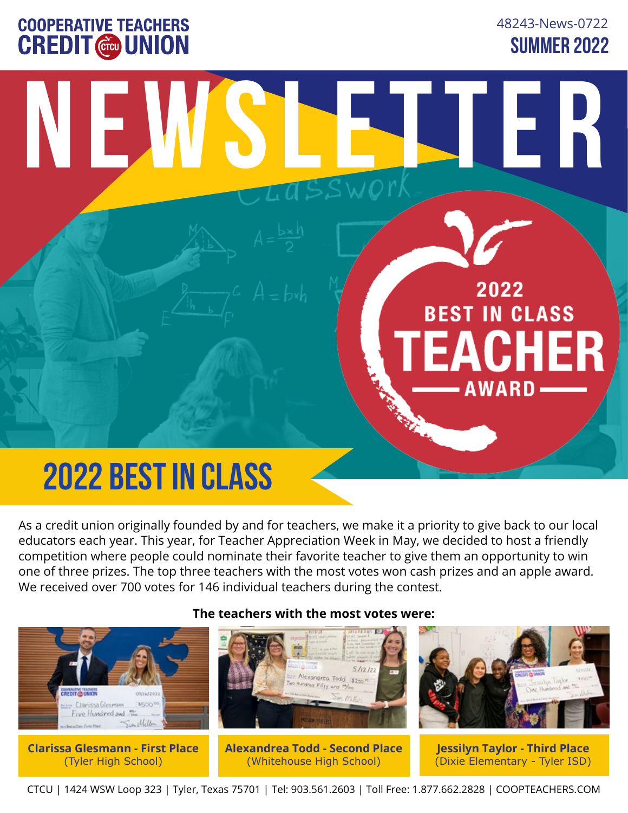## **COOPERATIVE TEACHERS CREDIT @ UNION**

**SUMMER 2022** 48243-News-0722

**Newsletter**

2022

**BEST IN CLASS** 

**AWARD** 

**EACHER** 

## **2022 BEST IN CLASS**

As a credit union originally founded by and for teachers, we make it a priority to give back to our local educators each year. This year, for Teacher Appreciation Week in May, we decided to host a friendly competition where people could nominate their favorite teacher to give them an opportunity to win one of three prizes. The top three teachers with the most votes won cash prizes and an apple award. We received over 700 votes for 146 individual teachers during the contest.

Antichildeko

#### **The teachers with the most votes were:**



CTCU | 1424 WSW Loop 323 | Tyler, Texas 75701 | Tel: 903.561.2603 | Toll Free: 1.877.662.2828 | COOPTEACHERS.COM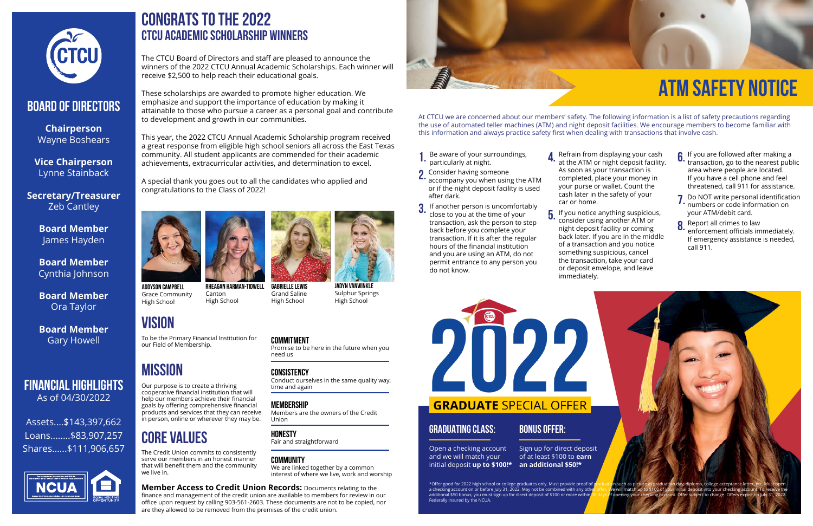

## Board of Directors

**Chairperson** Wayne Boshears

**Vice Chairperson** Lynne Stainback

**Secretary/Treasurer** Zeb Cantley

> **Board Member** James Hayden

**Board Member** Cynthia Johnson

**Board Member** Ora Taylor

**Board Member** Gary Howell

### Financial Highlights As of 04/30/2022

Assets....\$143,397,662 Loans........\$83,907,257 Shares......\$111,906,657



## **CONGRATS TO THE 2022 CTCU ACADEMIC SCHOLARSHIP WINNERS**

The CTCU Board of Directors and staff are pleased to announce the winners of the 2022 CTCU Annual Academic Scholarships. Each winner will receive \$2,500 to help reach their educational goals.

These scholarships are awarded to promote higher education. We emphasize and support the importance of education by making it attainable to those who pursue a career as a personal goal and contribute to development and growth in our communities.

This year, the 2022 CTCU Annual Academic Scholarship program received a great response from eligible high school seniors all across the East Texas community. All student applicants are commended for their academic achievements, extracurricular activities, and determination to excel.

A special thank you goes out to all the candidates who applied and congratulations to the Class of 2022!



**RHEAGAN HARMAN-TIDWELL**

Canton High School **ADDYSON CAMPBELL** Grace Community High School

 $\overline{5}$ . If you notice anything suspicious,<br> $\overline{5}$ . consider using another ATM or consider using another ATM or night deposit facility or coming back later. If you are in the middle of a transaction and you notice something suspicious, cancel the transaction, take your card or deposit envelope, and leave immediately.



At CTCU we are concerned about our members' safety. The following information is a list of safety precautions regarding the use of automated teller machines (ATM) and night deposit facilities. We encourage members to become familiar with this information and always practice safety first when dealing with transactions that involve cash.

- $\int$  If you are followed after making a<br> $\int$  transaction, go to the nearest pub transaction, go to the nearest public area where people are located. If you have a cell phone and feel threatened, call 911 for assistance.
- **7.** Do NOT write personal identification<br>**7.** numbers or code information on numbers or code information on your ATM/debit card.
- **8** Report all crimes to law<br>**8.** enforcement officials im enforcement officials immediately. If emergency assistance is needed, call 911.

\*Offer good for 2022 high school or college graduates only. Must provide proof of g<mark>raduation such as picture at graduation day, diploma, college acceptance letter, etc. Must</mark><br>a checking account on or before July 31, 2022. a checking account on or before July 31, 2022. May not be combined with any other offer. We will match up to \$100 of additional \$50 bonus, you must sign up for direct deposit of \$100 or more within 80 days of opening your checking account. Offer subject to change. Offers expire on July 31, 2022. Federally insured by the NCUA.

Refrain from displaying your cash **4** Refrain from displaying your cash<br>**4.** at the ATM or night deposit facility. As soon as your transaction is completed, place your money in your purse or wallet. Count the cash later in the safety of your car or home.

- Be aware of your surroundings, particularly at night. 1.
- 2. Consider having someone<br>2. accompany you when usin accompany you when using the ATM
- or if the night deposit facility is used after dark.
- If another person is uncomfortably close to you at the time of your transaction, ask the person to step back before you complete your transaction. If it is after the regular hours of the financial institution and you are using an ATM, do not permit entrance to any person you do not know. 3.

**Member Access to Credit Union Records: Documents relating to the** finance and management of the credit union are available to members for review in our office upon request by calling 903-561-2603. These documents are not to be copied, nor are they allowed to be removed from the premises of the credit union.



**JADYN VANWINKLE** Sulphur Springs High School



Grand Saline

High School

## **VISION**

## **MISSION**

Open a checking account and we will match your

**GRADUATING CLASS:** 

## initial deposit **up to \$100!\* an additional \$50!\***

Sign up for direct deposit of at least \$100 to **earn**

**BONUS OFFER:** 

2022

**GRADUATE SPECIAL OFFER** 

## **CORE VALUES**

To be the Primary Financial Institution for our Field of Membership.

Our purpose is to create a thriving cooperative financial institution that will help our members achieve their financial goals by offering comprehensive financial products and services that they can receive in person, online or wherever they may be.

The Credit Union commits to consistently serve our members in an honest manner that will benefit them and the community we live in.

### **COMMITMENT**

Promise to be here in the future when you need us

#### **CONSISTENCY**

Conduct ourselves in the same quality way, time and again

#### **MEMBERSHIP**

Members are the owners of the Credit Union

#### **HONESTY**

Fair and straightforward

#### **COMMUNITY**

We are linked together by a common interest of where we live, work and worship

## **ATM Safety Notice**